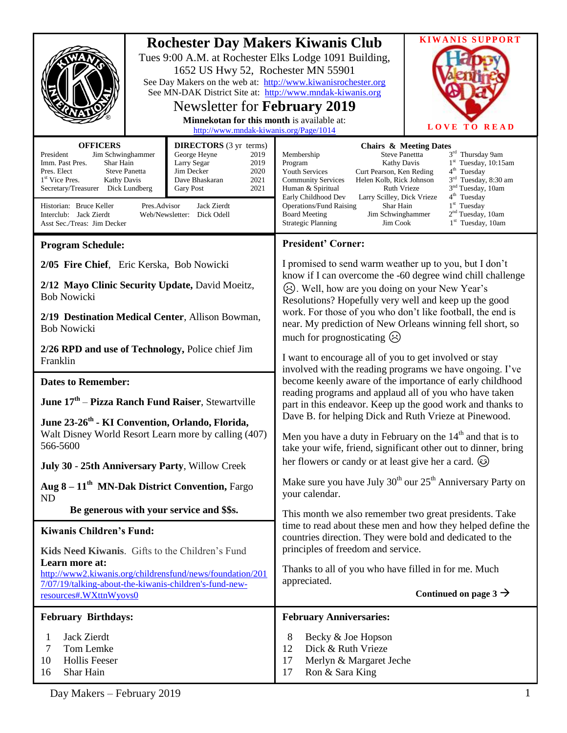|                                                                                                                                                                                                                                                                                                                                                                                                                                                                                                                         |  | 1652 US Hwy 52, Rochester MN 55901<br>See MN-DAK District Site at: http://www.mndak-kiwanis.org<br><b>Newsletter for February 2019</b><br>Minnekotan for this month is available at:<br>http://www.mndak-kiwanis.org/Page/1014 | <b>Rochester Day Makers Kiwanis Club</b><br>Tues 9:00 A.M. at Rochester Elks Lodge 1091 Building,<br>See Day Makers on the web at: http://www.kiwanisrochester.org                                                                                                                                                                                                                                              | <b>KIWANIS SUPPORT</b><br><b>LOVE TO READ</b>                                                                                                                                                                                                                                                 |  |
|-------------------------------------------------------------------------------------------------------------------------------------------------------------------------------------------------------------------------------------------------------------------------------------------------------------------------------------------------------------------------------------------------------------------------------------------------------------------------------------------------------------------------|--|--------------------------------------------------------------------------------------------------------------------------------------------------------------------------------------------------------------------------------|-----------------------------------------------------------------------------------------------------------------------------------------------------------------------------------------------------------------------------------------------------------------------------------------------------------------------------------------------------------------------------------------------------------------|-----------------------------------------------------------------------------------------------------------------------------------------------------------------------------------------------------------------------------------------------------------------------------------------------|--|
| <b>OFFICERS</b><br><b>DIRECTORS</b> (3 yr terms)<br>President<br>Jim Schwinghammer<br>George Heyne<br>2019<br>Imm. Past Pres.<br>Shar Hain<br>Larry Segar<br>2019<br>2020<br>Pres. Elect<br><b>Steve Panetta</b><br>Jim Decker<br>2021<br>1 <sup>st</sup> Vice Pres.<br><b>Kathy Davis</b><br>Dave Bhaskaran<br>Secretary/Treasurer Dick Lundberg<br>2021<br>Gary Post<br>Historian: Bruce Keller<br>Pres.Advisor<br>Jack Zierdt<br>Interclub: Jack Zierdt<br>Web/Newsletter: Dick Odell<br>Asst Sec./Treas: Jim Decker |  |                                                                                                                                                                                                                                | Steve Panettta<br>Membership<br>Kathy Davis<br>Program<br><b>Youth Services</b><br>Curt Pearson, Ken Reding<br>Helen Kolb, Rick Johnson<br><b>Community Services</b><br>Human & Spiritual<br><b>Ruth Vrieze</b><br>Early Childhood Dev<br>Larry Scilley, Dick Vrieze<br><b>Operations/Fund Raising</b><br>Shar Hain<br>Jim Schwinghammer<br><b>Board Meeting</b><br><b>Strategic Planning</b><br>Jim Cook       | <b>Chairs &amp; Meeting Dates</b><br>3rd Thursday 9am<br>1 <sup>st</sup> Tuesday, 10:15am<br>4 <sup>th</sup> Tuesday<br>3 <sup>rd</sup> Tuesday, 8:30 am<br>3 <sup>nd</sup> Tuesday, 10am<br>4 <sup>th</sup> Tuesday<br>$1st$ Tuesday<br>2 <sup>nd</sup> Tuesday, 10am<br>$1st$ Tuesday, 10am |  |
| <b>Program Schedule:</b>                                                                                                                                                                                                                                                                                                                                                                                                                                                                                                |  |                                                                                                                                                                                                                                | <b>President' Corner:</b>                                                                                                                                                                                                                                                                                                                                                                                       |                                                                                                                                                                                                                                                                                               |  |
| 2/05 Fire Chief, Eric Kerska, Bob Nowicki<br>2/12 Mayo Clinic Security Update, David Moeitz,<br><b>Bob Nowicki</b>                                                                                                                                                                                                                                                                                                                                                                                                      |  |                                                                                                                                                                                                                                | I promised to send warm weather up to you, but I don't<br>know if I can overcome the -60 degree wind chill challenge<br>(A). Well, how are you doing on your New Year's<br>Resolutions? Hopefully very well and keep up the good<br>work. For those of you who don't like football, the end is<br>near. My prediction of New Orleans winning fell short, so<br>much for prognosticating $\langle \cdot \rangle$ |                                                                                                                                                                                                                                                                                               |  |
| 2/19 Destination Medical Center, Allison Bowman,<br><b>Bob Nowicki</b>                                                                                                                                                                                                                                                                                                                                                                                                                                                  |  |                                                                                                                                                                                                                                |                                                                                                                                                                                                                                                                                                                                                                                                                 |                                                                                                                                                                                                                                                                                               |  |
| 2/26 RPD and use of Technology, Police chief Jim<br>Franklin                                                                                                                                                                                                                                                                                                                                                                                                                                                            |  |                                                                                                                                                                                                                                | I want to encourage all of you to get involved or stay<br>involved with the reading programs we have ongoing. I've                                                                                                                                                                                                                                                                                              |                                                                                                                                                                                                                                                                                               |  |
| <b>Dates to Remember:</b>                                                                                                                                                                                                                                                                                                                                                                                                                                                                                               |  |                                                                                                                                                                                                                                |                                                                                                                                                                                                                                                                                                                                                                                                                 | become keenly aware of the importance of early childhood                                                                                                                                                                                                                                      |  |
| June 17 <sup>th</sup> – Pizza Ranch Fund Raiser, Stewartville                                                                                                                                                                                                                                                                                                                                                                                                                                                           |  |                                                                                                                                                                                                                                | reading programs and applaud all of you who have taken<br>part in this endeavor. Keep up the good work and thanks to<br>Dave B. for helping Dick and Ruth Vrieze at Pinewood.<br>Men you have a duty in February on the $14th$ and that is to<br>take your wife, friend, significant other out to dinner, bring<br>her flowers or candy or at least give her a card. (a)                                        |                                                                                                                                                                                                                                                                                               |  |
| June 23-26 <sup>th</sup> - KI Convention, Orlando, Florida,<br>Walt Disney World Resort Learn more by calling (407)<br>566-5600                                                                                                                                                                                                                                                                                                                                                                                         |  |                                                                                                                                                                                                                                |                                                                                                                                                                                                                                                                                                                                                                                                                 |                                                                                                                                                                                                                                                                                               |  |
| July 30 - 25th Anniversary Party, Willow Creek                                                                                                                                                                                                                                                                                                                                                                                                                                                                          |  |                                                                                                                                                                                                                                |                                                                                                                                                                                                                                                                                                                                                                                                                 |                                                                                                                                                                                                                                                                                               |  |
| Aug 8 - 11 <sup>th</sup> MN-Dak District Convention, Fargo<br>ND                                                                                                                                                                                                                                                                                                                                                                                                                                                        |  |                                                                                                                                                                                                                                | Make sure you have July $30^{th}$ our $25^{th}$ Anniversary Party on<br>your calendar.                                                                                                                                                                                                                                                                                                                          |                                                                                                                                                                                                                                                                                               |  |
| Be generous with your service and \$\$s.                                                                                                                                                                                                                                                                                                                                                                                                                                                                                |  |                                                                                                                                                                                                                                | This month we also remember two great presidents. Take<br>time to read about these men and how they helped define the<br>countries direction. They were bold and dedicated to the<br>principles of freedom and service.                                                                                                                                                                                         |                                                                                                                                                                                                                                                                                               |  |
| <b>Kiwanis Children's Fund:</b><br>Kids Need Kiwanis. Gifts to the Children's Fund                                                                                                                                                                                                                                                                                                                                                                                                                                      |  |                                                                                                                                                                                                                                |                                                                                                                                                                                                                                                                                                                                                                                                                 |                                                                                                                                                                                                                                                                                               |  |
| Learn more at:                                                                                                                                                                                                                                                                                                                                                                                                                                                                                                          |  |                                                                                                                                                                                                                                | Thanks to all of you who have filled in for me. Much                                                                                                                                                                                                                                                                                                                                                            |                                                                                                                                                                                                                                                                                               |  |
| http://www2.kiwanis.org/childrensfund/news/foundation/201<br>7/07/19/talking-about-the-kiwanis-children's-fund-new-                                                                                                                                                                                                                                                                                                                                                                                                     |  |                                                                                                                                                                                                                                | appreciated.<br>Continued on page $3 \rightarrow$                                                                                                                                                                                                                                                                                                                                                               |                                                                                                                                                                                                                                                                                               |  |
| resources#.WXttnWyovs0                                                                                                                                                                                                                                                                                                                                                                                                                                                                                                  |  |                                                                                                                                                                                                                                |                                                                                                                                                                                                                                                                                                                                                                                                                 |                                                                                                                                                                                                                                                                                               |  |
| <b>February Birthdays:</b>                                                                                                                                                                                                                                                                                                                                                                                                                                                                                              |  |                                                                                                                                                                                                                                | <b>February Anniversaries:</b>                                                                                                                                                                                                                                                                                                                                                                                  |                                                                                                                                                                                                                                                                                               |  |
| Jack Zierdt<br>1<br>$\tau$<br>Tom Lemke<br><b>Hollis Feeser</b><br>10<br>Shar Hain<br>16                                                                                                                                                                                                                                                                                                                                                                                                                                |  |                                                                                                                                                                                                                                | 8<br>Becky & Joe Hopson<br>Dick & Ruth Vrieze<br>12<br>17<br>Merlyn & Margaret Jeche<br>17<br>Ron & Sara King                                                                                                                                                                                                                                                                                                   |                                                                                                                                                                                                                                                                                               |  |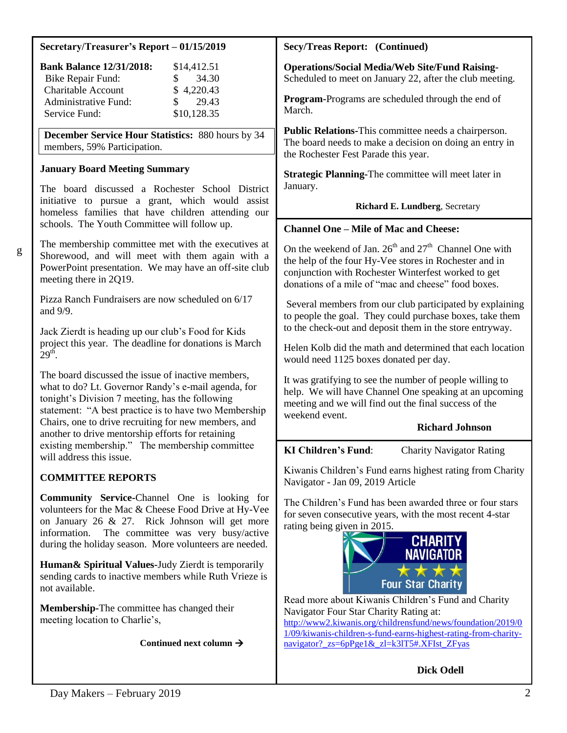#### **Secretary/Treasurer's Report – 01/15/2019**

| <b>Bank Balance 12/31/2018:</b> | \$14,412.51            |
|---------------------------------|------------------------|
| Bike Repair Fund:               | 34.30<br>SS.           |
| <b>Charitable Account</b>       | \$4,220.43             |
| Administrative Fund:            | 29.43<br>$\mathcal{S}$ |
| Service Fund:                   | \$10,128.35            |

**December Service Hour Statistics:** 880 hours by 34 members, 59% Participation.

#### **January Board Meeting Summary**

The board discussed a Rochester School District initiative to pursue a grant, which would assist homeless families that have children attending our schools. The Youth Committee will follow up.

g

The membership committee met with the executives at Shorewood, and will meet with them again with a PowerPoint presentation. We may have an off-site club meeting there in 2Q19.

Pizza Ranch Fundraisers are now scheduled on 6/17 and 9/9.

Jack Zierdt is heading up our club's Food for Kids project this year. The deadline for donations is March  $29<sup>th</sup>$ .

The board discussed the issue of inactive members, what to do? Lt. Governor Randy's e-mail agenda, for tonight's Division 7 meeting, has the following statement: "A best practice is to have two Membership Chairs, one to drive recruiting for new members, and another to drive mentorship efforts for retaining existing membership." The membership committee will address this issue.

# **COMMITTEE REPORTS**

**Community Service-**Channel One is looking for volunteers for the Mac & Cheese Food Drive at Hy-Vee on January 26 & 27. Rick Johnson will get more information. The committee was very busy/active during the holiday season. More volunteers are needed.

**Human& Spiritual Values-**Judy Zierdt is temporarily sending cards to inactive members while Ruth Vrieze is not available.

**Membership-**The committee has changed their meeting location to Charlie's,

**Continued next column** 

#### **Secy/Treas Report: (Continued)**

**Operations/Social Media/Web Site/Fund Raising-**Scheduled to meet on January 22, after the club meeting.

**Program-**Programs are scheduled through the end of March.

**Public Relations-**This committee needs a chairperson. The board needs to make a decision on doing an entry in the Rochester Fest Parade this year.

**Strategic Planning-**The committee will meet later in January.

 **Richard E. Lundberg**, Secretary

#### **Channel One – Mile of Mac and Cheese:**

On the weekend of Jan.  $26<sup>th</sup>$  and  $27<sup>th</sup>$  Channel One with the help of the four Hy-Vee stores in Rochester and in conjunction with Rochester Winterfest worked to get donations of a mile of "mac and cheese" food boxes.

Several members from our club participated by explaining to people the goal. They could purchase boxes, take them to the check-out and deposit them in the store entryway.

Helen Kolb did the math and determined that each location would need 1125 boxes donated per day.

It was gratifying to see the number of people willing to help. We will have Channel One speaking at an upcoming meeting and we will find out the final success of the weekend event.

#### **Richard Johnson**

# **KI Children's Fund**: Charity Navigator Rating

Kiwanis Children's Fund earns highest rating from Charity Navigator - Jan 09, 2019 Article

The Children's Fund has been awarded three or four stars for seven consecutive years, with the most recent 4-star rating being given in 2015.



Read more about Kiwanis Children's Fund and Charity Navigator Four Star Charity Rating at:

[http://www2.kiwanis.org/childrensfund/news/foundation/2019/0](http://www2.kiwanis.org/childrensfund/news/foundation/2019/01/09/kiwanis-children-s-fund-earns-highest-rating-from-charity-navigator?_zs=6pPge1&_zl=k3lT5#.XFIst_ZFyas) [1/09/kiwanis-children-s-fund-earns-highest-rating-from-charity](http://www2.kiwanis.org/childrensfund/news/foundation/2019/01/09/kiwanis-children-s-fund-earns-highest-rating-from-charity-navigator?_zs=6pPge1&_zl=k3lT5#.XFIst_ZFyas)[navigator?\\_zs=6pPge1&\\_zl=k3lT5#.XFIst\\_ZFyas](http://www2.kiwanis.org/childrensfund/news/foundation/2019/01/09/kiwanis-children-s-fund-earns-highest-rating-from-charity-navigator?_zs=6pPge1&_zl=k3lT5#.XFIst_ZFyas)

**Dick Odell**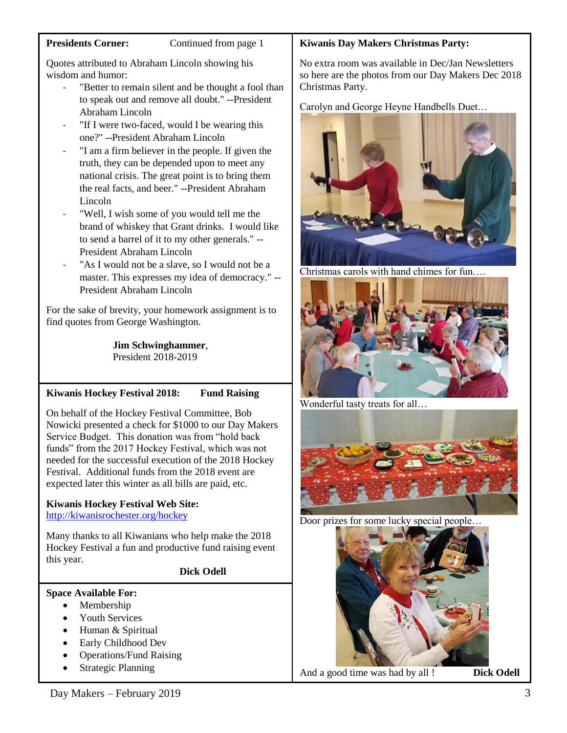Quotes attributed to Abraham Lincoln showing his wisdom and humor:

- "Better to remain silent and be thought a fool than to speak out and remove all doubt." --President Abraham Lincoln
- "If I were two-faced, would I be wearing this one?" --President Abraham Lincoln
- "I am a firm believer in the people. If given the truth, they can be depended upon to meet any national crisis. The great point is to bring them the real facts, and beer." --President Abraham Lincoln
- "Well, I wish some of you would tell me the brand of whiskey that Grant drinks. I would like to send a barrel of it to my other generals." -- President Abraham Lincoln
- "As I would not be a slave, so I would not be a master. This expresses my idea of democracy." -- President Abraham Lincoln

For the sake of brevity, your homework assignment is to find quotes from George Washington.

> **Jim Schwinghammer**, President 2018-2019

# **Kiwanis Hockey Festival 2018: Fund Raising**

On behalf of the Hockey Festival Committee, Bob Nowicki presented a check for \$1000 to our Day Makers Service Budget. This donation was from "hold back funds" from the 2017 Hockey Festival, which was not needed for the successful execution of the 2018 Hockey Festival. Additional funds from the 2018 event are expected later this winter as all bills are paid, etc.

#### **Kiwanis Hockey Festival Web Site:** <http://kiwanisrochester.org/hockey>

Many thanks to all Kiwanians who help make the 2018 Hockey Festival a fun and productive fund raising event this year.

#### **Dick Odell**

#### **Space Available For:**

- Membership
- Youth Services
- Human & Spiritual
- Early Childhood Dev
- Operations/Fund Raising
- Strategic Planning

## **Kiwanis Day Makers Christmas Party:**

No extra room was available in Dec/Jan Newsletters so here are the photos from our Day Makers Dec 2018 Christmas Party.

Carolyn and George Heyne Handbells Duet…



Christmas carols with hand chimes for fun….



Wonderful tasty treats for all…



Door prizes for some lucky special people…



And a good time was had by all ! **Dick Odell**